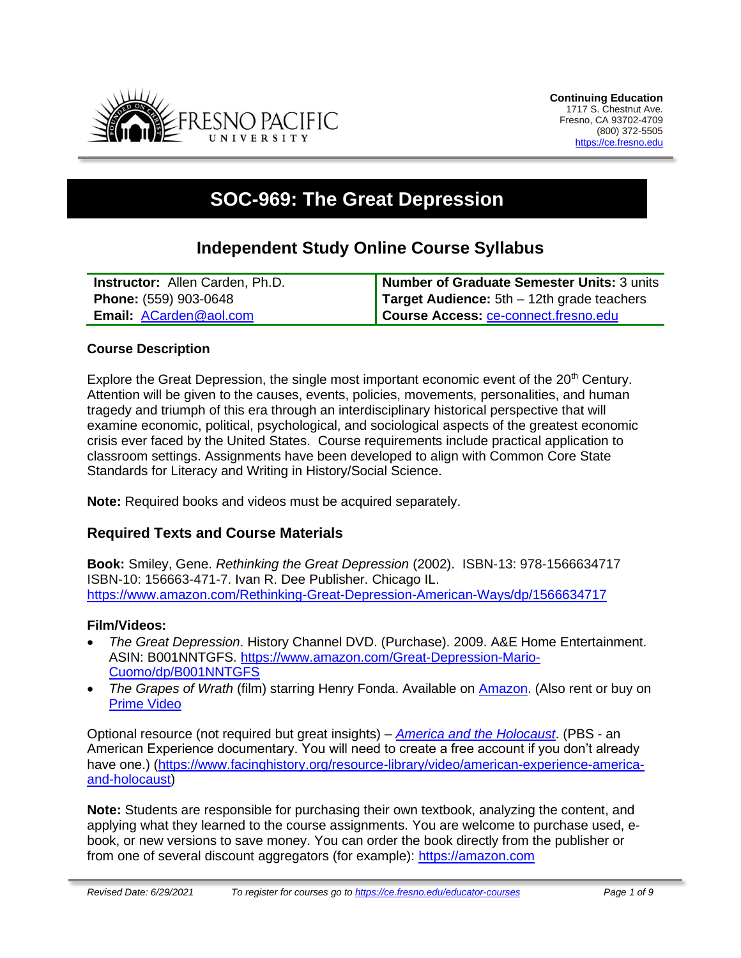

# **SOC-969: The Great Depression**

## **Independent Study Online Course Syllabus**

| <b>Instructor:</b> Allen Carden, Ph.D. | Number of Graduate Semester Units: 3 units          |
|----------------------------------------|-----------------------------------------------------|
| <b>Phone:</b> (559) 903-0648           | <b>Target Audience:</b> $5th - 12th$ grade teachers |
| Email: ACarden@aol.com                 | Course Access: ce-connect.fresno.edu                |

#### **Course Description**

Explore the Great Depression, the single most important economic event of the  $20<sup>th</sup>$  Century. Attention will be given to the causes, events, policies, movements, personalities, and human tragedy and triumph of this era through an interdisciplinary historical perspective that will examine economic, political, psychological, and sociological aspects of the greatest economic crisis ever faced by the United States. Course requirements include practical application to classroom settings. Assignments have been developed to align with Common Core State Standards for Literacy and Writing in History/Social Science.

**Note:** Required books and videos must be acquired separately.

### **Required Texts and Course Materials**

**Book:** Smiley, Gene. *Rethinking the Great Depression* (2002). ISBN-13: 978-1566634717 ISBN-10: 156663-471-7. Ivan R. Dee Publisher. Chicago IL. <https://www.amazon.com/Rethinking-Great-Depression-American-Ways/dp/1566634717>

#### **Film/Videos:**

- *The Great Depression*. History Channel DVD. (Purchase). 2009. A&E Home Entertainment. ASIN: B001NNTGFS. [https://www.amazon.com/Great-Depression-Mario-](https://www.amazon.com/Great-Depression-Mario-Cuomo/dp/B001NNTGFS)[Cuomo/dp/B001NNTGFS](https://www.amazon.com/Great-Depression-Mario-Cuomo/dp/B001NNTGFS)
- *The Grapes of Wrath* (film) starring Henry Fonda. Available on [Amazon.](https://www.amazon.com/Grapes-Wrath-Blu-ray-Henry-Fonda/dp/B007PM218K/ref=asc_df_B007PM218K/?tag=hyprod-20&linkCode=df0&hvadid=312230736656&hvpos=&hvnetw=g&hvrand=2931617852946352633&hvpone=&hvptwo=&hvqmt=&hvdev=c&hvdvcmdl=&hvlocint=&hvlocphy=9031) (Also rent or buy on [Prime Video](https://www.amazon.com/Grapes-Wrath-Dorris-Bowdon/dp/B00A32CJQ8/ref=tmm_aiv_swatch_0?_encoding=UTF8&qid=&sr=)

Optional resource (not required but great insights) – *[America and the Holocaust](https://www.facinghistory.org/resource-library/video/american-experience-america-and-holocaust)*. (PBS - an American Experience documentary. You will need to create a free account if you don't already have one.) [\(https://www.facinghistory.org/resource-library/video/american-experience-america](https://www.facinghistory.org/resource-library/video/american-experience-america-and-holocaust)[and-holocaust\)](https://www.facinghistory.org/resource-library/video/american-experience-america-and-holocaust)

**Note:** Students are responsible for purchasing their own textbook, analyzing the content, and applying what they learned to the course assignments. You are welcome to purchase used, ebook, or new versions to save money. You can order the book directly from the publisher or from one of several discount aggregators (for example): [https://amazon.com](https://amazon.com/)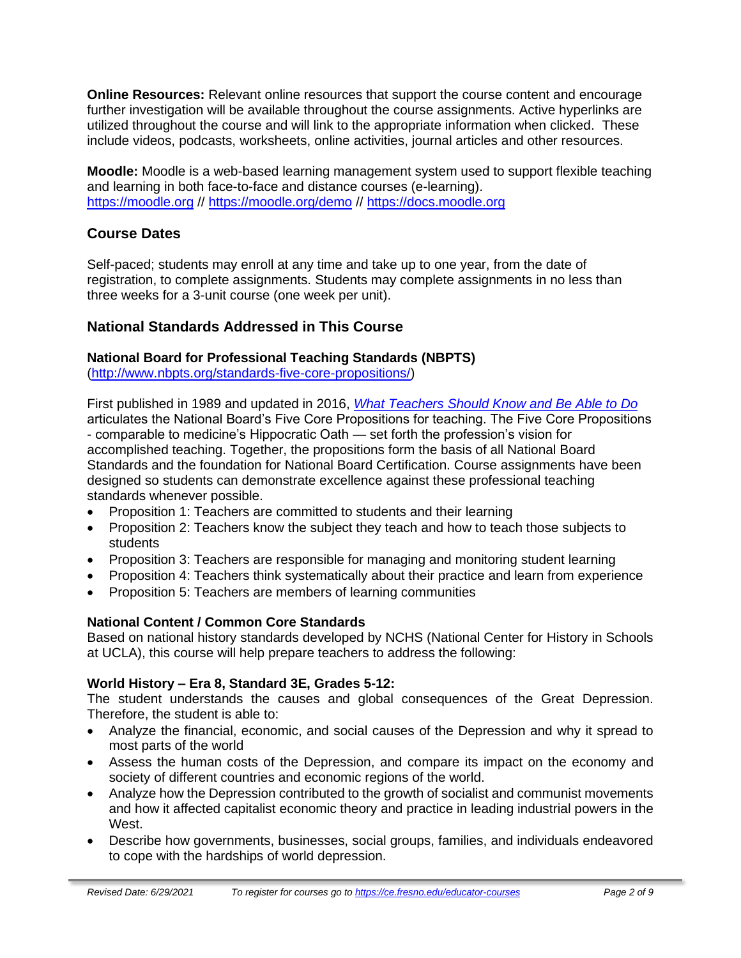**Online Resources:** Relevant online resources that support the course content and encourage further investigation will be available throughout the course assignments. Active hyperlinks are utilized throughout the course and will link to the appropriate information when clicked. These include videos, podcasts, worksheets, online activities, journal articles and other resources.

**Moodle:** Moodle is a web-based learning management system used to support flexible teaching and learning in both face-to-face and distance courses (e-learning). [https://moodle.org](https://moodle.org/) // <https://moodle.org/demo> // [https://docs.moodle.org](https://docs.moodle.org/)

### **Course Dates**

Self-paced; students may enroll at any time and take up to one year, from the date of registration, to complete assignments. Students may complete assignments in no less than three weeks for a 3-unit course (one week per unit).

### **National Standards Addressed in This Course**

### **National Board for Professional Teaching Standards (NBPTS)**

[\(http://www.nbpts.org/standards-five-core-propositions/\)](http://www.nbpts.org/standards-five-core-propositions/)

First published in 1989 and updated in 2016, *[What Teachers Should Know and Be Able to Do](http://www.accomplishedteacher.org/)* articulates the National Board's Five Core Propositions for teaching. The Five Core Propositions - comparable to medicine's Hippocratic Oath — set forth the profession's vision for accomplished teaching. Together, the propositions form the basis of all National Board Standards and the foundation for National Board Certification. Course assignments have been designed so students can demonstrate excellence against these professional teaching standards whenever possible.

- Proposition 1: Teachers are committed to students and their learning
- Proposition 2: Teachers know the subject they teach and how to teach those subjects to students
- Proposition 3: Teachers are responsible for managing and monitoring student learning
- Proposition 4: Teachers think systematically about their practice and learn from experience
- Proposition 5: Teachers are members of learning communities

### **National Content / Common Core Standards**

Based on national history standards developed by NCHS (National Center for History in Schools at UCLA), this course will help prepare teachers to address the following:

### **World History – Era 8, Standard 3E, Grades 5-12:**

The student understands the causes and global consequences of the Great Depression. Therefore, the student is able to:

- Analyze the financial, economic, and social causes of the Depression and why it spread to most parts of the world
- Assess the human costs of the Depression, and compare its impact on the economy and society of different countries and economic regions of the world.
- Analyze how the Depression contributed to the growth of socialist and communist movements and how it affected capitalist economic theory and practice in leading industrial powers in the West.
- Describe how governments, businesses, social groups, families, and individuals endeavored to cope with the hardships of world depression.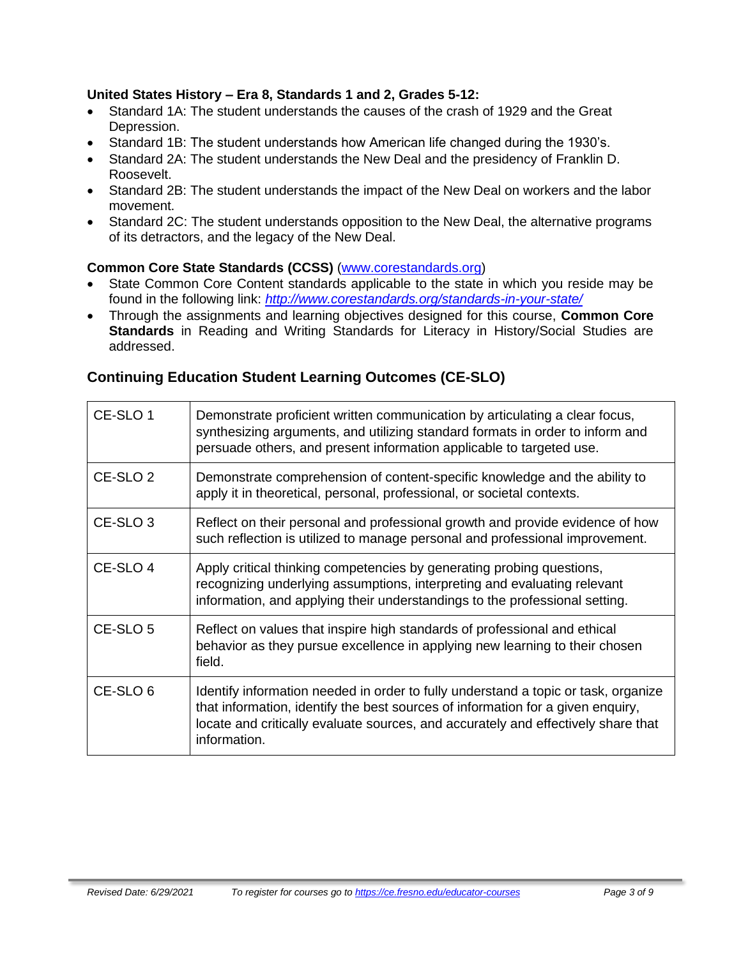### **United States History – Era 8, Standards 1 and 2, Grades 5-12:**

- Standard 1A: The student understands the causes of the crash of 1929 and the Great Depression.
- Standard 1B: The student understands how American life changed during the 1930's.
- Standard 2A: The student understands the New Deal and the presidency of Franklin D. Roosevelt.
- Standard 2B: The student understands the impact of the New Deal on workers and the labor movement.
- Standard 2C: The student understands opposition to the New Deal, the alternative programs of its detractors, and the legacy of the New Deal.

### **Common Core State Standards (CCSS)** [\(www.corestandards.org\)](http://www.corestandards.org/)

- State Common Core Content standards applicable to the state in which you reside may be found in the following link: *<http://www.corestandards.org/standards-in-your-state/>*
- Through the assignments and learning objectives designed for this course, **Common Core Standards** in Reading and Writing Standards for Literacy in History/Social Studies are addressed.

### **Continuing Education Student Learning Outcomes (CE-SLO)**

| CE-SLO 1            | Demonstrate proficient written communication by articulating a clear focus,<br>synthesizing arguments, and utilizing standard formats in order to inform and<br>persuade others, and present information applicable to targeted use.                                       |
|---------------------|----------------------------------------------------------------------------------------------------------------------------------------------------------------------------------------------------------------------------------------------------------------------------|
| CE-SLO <sub>2</sub> | Demonstrate comprehension of content-specific knowledge and the ability to<br>apply it in theoretical, personal, professional, or societal contexts.                                                                                                                       |
| CE-SLO <sub>3</sub> | Reflect on their personal and professional growth and provide evidence of how<br>such reflection is utilized to manage personal and professional improvement.                                                                                                              |
| CE-SLO 4            | Apply critical thinking competencies by generating probing questions,<br>recognizing underlying assumptions, interpreting and evaluating relevant<br>information, and applying their understandings to the professional setting.                                           |
| CE-SLO <sub>5</sub> | Reflect on values that inspire high standards of professional and ethical<br>behavior as they pursue excellence in applying new learning to their chosen<br>field.                                                                                                         |
| CE-SLO <sub>6</sub> | Identify information needed in order to fully understand a topic or task, organize<br>that information, identify the best sources of information for a given enquiry,<br>locate and critically evaluate sources, and accurately and effectively share that<br>information. |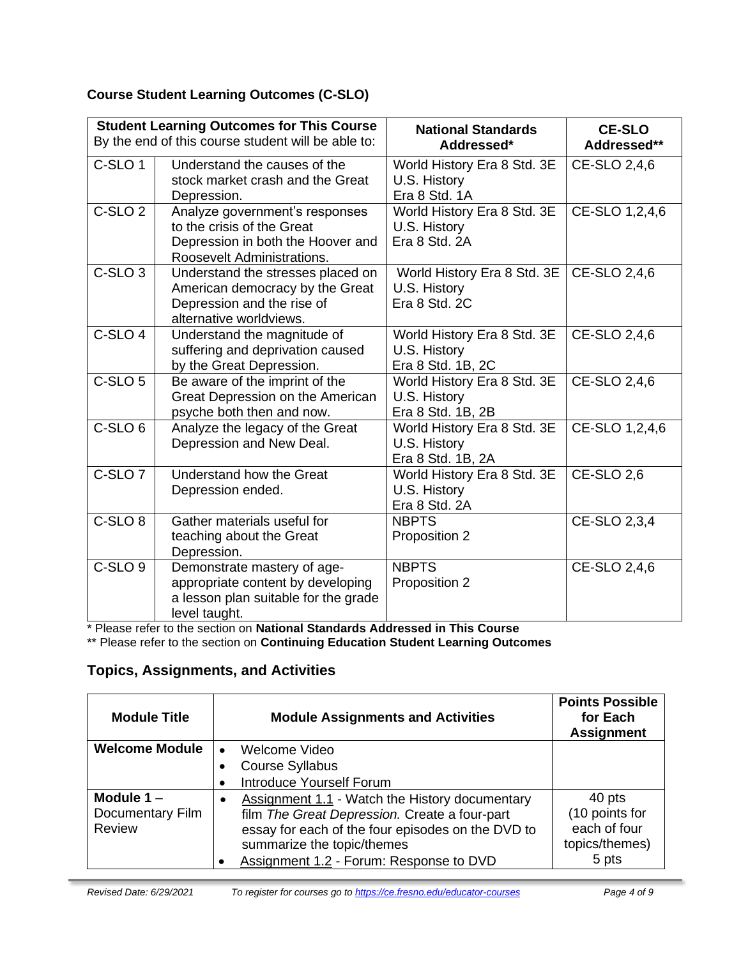### **Course Student Learning Outcomes (C-SLO)**

| <b>Student Learning Outcomes for This Course</b><br>By the end of this course student will be able to: |                                                                                                                                 | <b>National Standards</b><br>Addressed*                          | <b>CE-SLO</b><br>Addressed** |
|--------------------------------------------------------------------------------------------------------|---------------------------------------------------------------------------------------------------------------------------------|------------------------------------------------------------------|------------------------------|
| C-SLO <sub>1</sub>                                                                                     | Understand the causes of the<br>stock market crash and the Great<br>Depression.                                                 | World History Era 8 Std. 3E<br>U.S. History<br>Era 8 Std. 1A     | CE-SLO 2,4,6                 |
| C-SLO <sub>2</sub>                                                                                     | Analyze government's responses<br>to the crisis of the Great<br>Depression in both the Hoover and<br>Roosevelt Administrations. | World History Era 8 Std. 3E<br>U.S. History<br>Era 8 Std. 2A     | CE-SLO 1,2,4,6               |
| C-SLO <sub>3</sub>                                                                                     | Understand the stresses placed on<br>American democracy by the Great<br>Depression and the rise of<br>alternative worldviews.   | World History Era 8 Std. 3E<br>U.S. History<br>Era 8 Std. 2C     | CE-SLO 2,4,6                 |
| C-SLO <sub>4</sub>                                                                                     | Understand the magnitude of<br>suffering and deprivation caused<br>by the Great Depression.                                     | World History Era 8 Std. 3E<br>U.S. History<br>Era 8 Std. 1B, 2C | CE-SLO 2,4,6                 |
| C-SLO <sub>5</sub>                                                                                     | Be aware of the imprint of the<br>Great Depression on the American<br>psyche both then and now.                                 | World History Era 8 Std. 3E<br>U.S. History<br>Era 8 Std. 1B, 2B | CE-SLO 2,4,6                 |
| C-SLO <sub>6</sub>                                                                                     | Analyze the legacy of the Great<br>Depression and New Deal.                                                                     | World History Era 8 Std. 3E<br>U.S. History<br>Era 8 Std. 1B, 2A | CE-SLO 1,2,4,6               |
| C-SLO <sub>7</sub>                                                                                     | Understand how the Great<br>Depression ended.                                                                                   | World History Era 8 Std. 3E<br>U.S. History<br>Era 8 Std. 2A     | <b>CE-SLO 2,6</b>            |
| C-SLO <sub>8</sub>                                                                                     | Gather materials useful for<br>teaching about the Great<br>Depression.                                                          | <b>NBPTS</b><br>Proposition 2                                    | CE-SLO 2,3,4                 |
| C-SLO <sub>9</sub>                                                                                     | Demonstrate mastery of age-<br>appropriate content by developing<br>a lesson plan suitable for the grade<br>level taught.       | <b>NBPTS</b><br>Proposition 2                                    | CE-SLO 2,4,6                 |

\* Please refer to the section on **National Standards Addressed in This Course**

\*\* Please refer to the section on **Continuing Education Student Learning Outcomes**

### **Topics, Assignments, and Activities**

| <b>Module Title</b>   | <b>Module Assignments and Activities</b>          | <b>Points Possible</b><br>for Each<br><b>Assignment</b> |
|-----------------------|---------------------------------------------------|---------------------------------------------------------|
| <b>Welcome Module</b> | Welcome Video<br>$\bullet$                        |                                                         |
|                       | <b>Course Syllabus</b>                            |                                                         |
|                       | Introduce Yourself Forum                          |                                                         |
| Module $1 -$          | Assignment 1.1 - Watch the History documentary    | 40 pts                                                  |
| Documentary Film      | film The Great Depression. Create a four-part     | (10 points for                                          |
| Review                | essay for each of the four episodes on the DVD to | each of four                                            |
|                       | summarize the topic/themes                        | topics/themes)                                          |
|                       | Assignment 1.2 - Forum: Response to DVD           | 5 pts                                                   |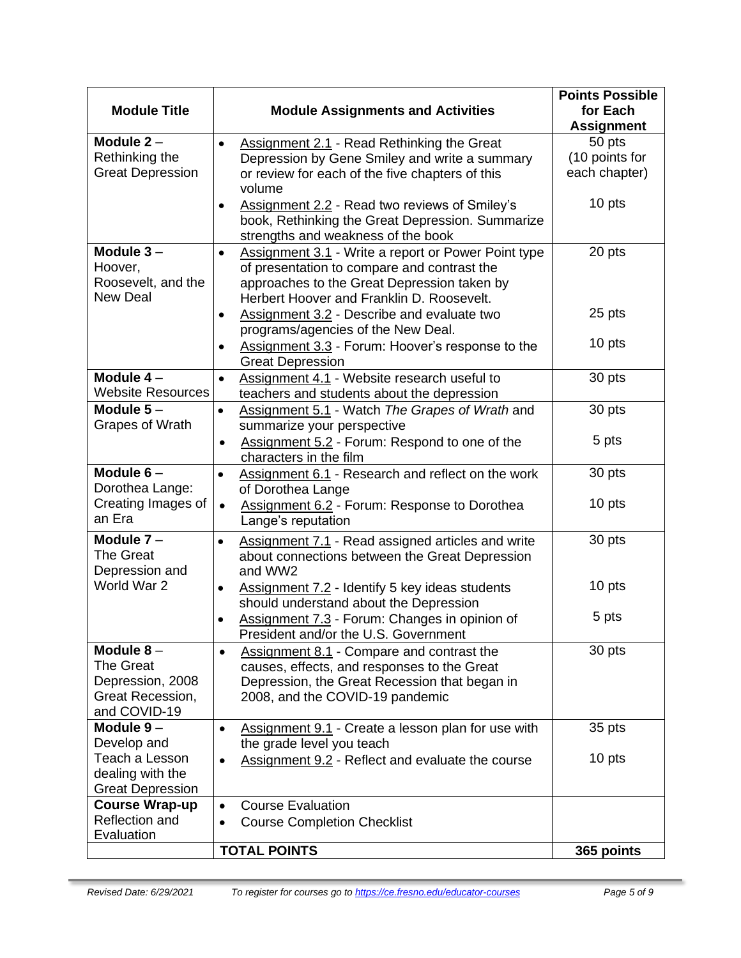|                                         |                                                                                        | <b>Points Possible</b>        |
|-----------------------------------------|----------------------------------------------------------------------------------------|-------------------------------|
| <b>Module Title</b>                     | <b>Module Assignments and Activities</b>                                               | for Each<br><b>Assignment</b> |
| Module $2 -$                            | <b>Assignment 2.1 - Read Rethinking the Great</b><br>$\bullet$                         | 50 pts                        |
| Rethinking the                          | Depression by Gene Smiley and write a summary                                          | (10 points for                |
| <b>Great Depression</b>                 | or review for each of the five chapters of this                                        | each chapter)                 |
|                                         | volume                                                                                 |                               |
|                                         | Assignment 2.2 - Read two reviews of Smiley's<br>$\bullet$                             | 10 pts                        |
|                                         | book, Rethinking the Great Depression. Summarize<br>strengths and weakness of the book |                               |
| Module $3 -$                            | Assignment 3.1 - Write a report or Power Point type<br>$\bullet$                       | 20 pts                        |
| Hoover,                                 | of presentation to compare and contrast the                                            |                               |
| Roosevelt, and the                      | approaches to the Great Depression taken by                                            |                               |
| New Deal                                | Herbert Hoover and Franklin D. Roosevelt.                                              |                               |
|                                         | Assignment 3.2 - Describe and evaluate two<br>$\bullet$                                | 25 pts                        |
|                                         | programs/agencies of the New Deal.                                                     |                               |
|                                         | Assignment 3.3 - Forum: Hoover's response to the<br>$\bullet$                          | 10 pts                        |
| Module $4-$                             | <b>Great Depression</b><br>Assignment 4.1 - Website research useful to                 | 30 pts                        |
| <b>Website Resources</b>                | $\bullet$<br>teachers and students about the depression                                |                               |
| Module $5-$                             | Assignment 5.1 - Watch The Grapes of Wrath and<br>$\bullet$                            | 30 pts                        |
| Grapes of Wrath                         | summarize your perspective                                                             |                               |
|                                         | Assignment 5.2 - Forum: Respond to one of the<br>$\bullet$                             | 5 pts                         |
|                                         | characters in the film                                                                 |                               |
| Module $6-$                             | Assignment 6.1 - Research and reflect on the work<br>$\bullet$                         | 30 pts                        |
| Dorothea Lange:                         | of Dorothea Lange                                                                      |                               |
| Creating Images of<br>an Era            | Assignment 6.2 - Forum: Response to Dorothea<br>$\bullet$                              | 10 pts                        |
|                                         | Lange's reputation                                                                     |                               |
| Module $7 -$<br><b>The Great</b>        | <b>Assignment 7.1 - Read assigned articles and write</b><br>$\bullet$                  | 30 pts                        |
| Depression and                          | about connections between the Great Depression<br>and WW2                              |                               |
| World War 2                             | Assignment 7.2 - Identify 5 key ideas students<br>٠                                    | 10 pts                        |
|                                         | should understand about the Depression                                                 |                               |
|                                         | Assignment 7.3 - Forum: Changes in opinion of<br>$\bullet$                             | 5 pts                         |
|                                         | President and/or the U.S. Government                                                   |                               |
| Module $8-$                             | <b>Assignment 8.1 - Compare and contrast the</b><br>$\bullet$                          | 30 pts                        |
| <b>The Great</b>                        | causes, effects, and responses to the Great                                            |                               |
| Depression, 2008<br>Great Recession,    | Depression, the Great Recession that began in<br>2008, and the COVID-19 pandemic       |                               |
| and COVID-19                            |                                                                                        |                               |
| Module $9-$                             | Assignment 9.1 - Create a lesson plan for use with<br>$\bullet$                        | 35 pts                        |
| Develop and                             | the grade level you teach                                                              |                               |
| Teach a Lesson                          | <b>Assignment 9.2 - Reflect and evaluate the course</b><br>$\bullet$                   | 10 pts                        |
| dealing with the                        |                                                                                        |                               |
| <b>Great Depression</b>                 |                                                                                        |                               |
| <b>Course Wrap-up</b><br>Reflection and | <b>Course Evaluation</b><br>$\bullet$                                                  |                               |
| Evaluation                              | <b>Course Completion Checklist</b><br>$\bullet$                                        |                               |
|                                         | <b>TOTAL POINTS</b>                                                                    | 365 points                    |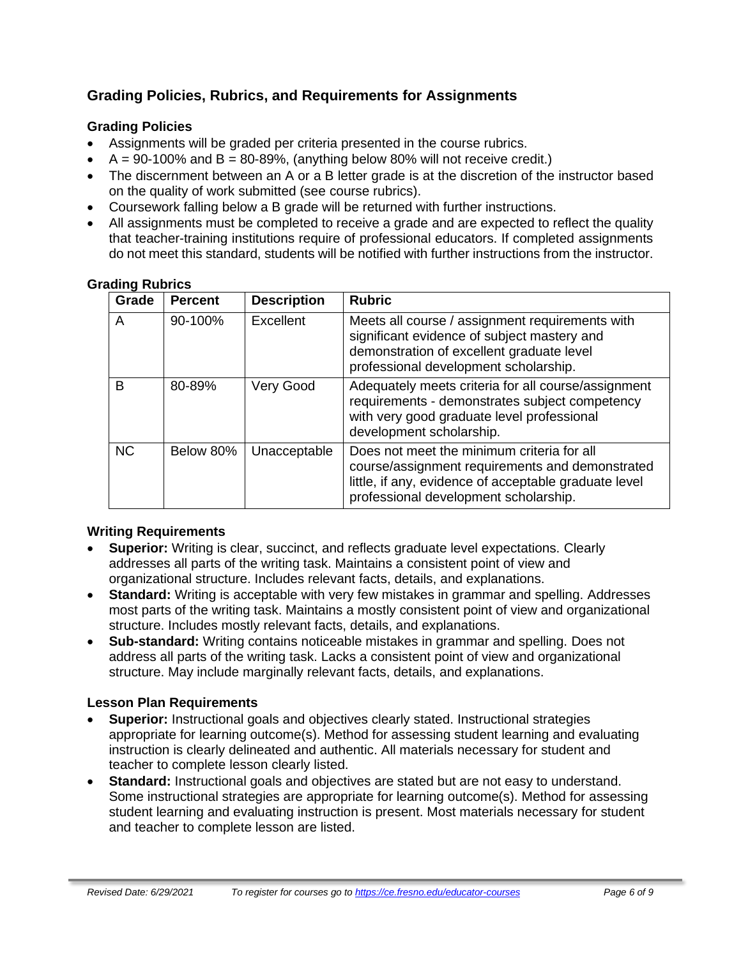### **Grading Policies, Rubrics, and Requirements for Assignments**

### **Grading Policies**

- Assignments will be graded per criteria presented in the course rubrics.
- $A = 90-100\%$  and  $B = 80-89\%$ , (anything below 80% will not receive credit.)
- The discernment between an A or a B letter grade is at the discretion of the instructor based on the quality of work submitted (see course rubrics).
- Coursework falling below a B grade will be returned with further instructions.
- All assignments must be completed to receive a grade and are expected to reflect the quality that teacher-training institutions require of professional educators. If completed assignments do not meet this standard, students will be notified with further instructions from the instructor.

| Grade     | <b>Percent</b> | <b>Description</b> | <b>Rubric</b>                                                                                                                                                                                   |
|-----------|----------------|--------------------|-------------------------------------------------------------------------------------------------------------------------------------------------------------------------------------------------|
| A         | 90-100%        | Excellent          | Meets all course / assignment requirements with<br>significant evidence of subject mastery and<br>demonstration of excellent graduate level<br>professional development scholarship.            |
| В         | 80-89%         | Very Good          | Adequately meets criteria for all course/assignment<br>requirements - demonstrates subject competency<br>with very good graduate level professional<br>development scholarship.                 |
| <b>NC</b> | Below 80%      | Unacceptable       | Does not meet the minimum criteria for all<br>course/assignment requirements and demonstrated<br>little, if any, evidence of acceptable graduate level<br>professional development scholarship. |

#### **Grading Rubrics**

### **Writing Requirements**

- **Superior:** Writing is clear, succinct, and reflects graduate level expectations. Clearly addresses all parts of the writing task. Maintains a consistent point of view and organizational structure. Includes relevant facts, details, and explanations.
- **Standard:** Writing is acceptable with very few mistakes in grammar and spelling. Addresses most parts of the writing task. Maintains a mostly consistent point of view and organizational structure. Includes mostly relevant facts, details, and explanations.
- **Sub-standard:** Writing contains noticeable mistakes in grammar and spelling. Does not address all parts of the writing task. Lacks a consistent point of view and organizational structure. May include marginally relevant facts, details, and explanations.

### **Lesson Plan Requirements**

- **Superior:** Instructional goals and objectives clearly stated. Instructional strategies appropriate for learning outcome(s). Method for assessing student learning and evaluating instruction is clearly delineated and authentic. All materials necessary for student and teacher to complete lesson clearly listed.
- **Standard:** Instructional goals and objectives are stated but are not easy to understand. Some instructional strategies are appropriate for learning outcome(s). Method for assessing student learning and evaluating instruction is present. Most materials necessary for student and teacher to complete lesson are listed.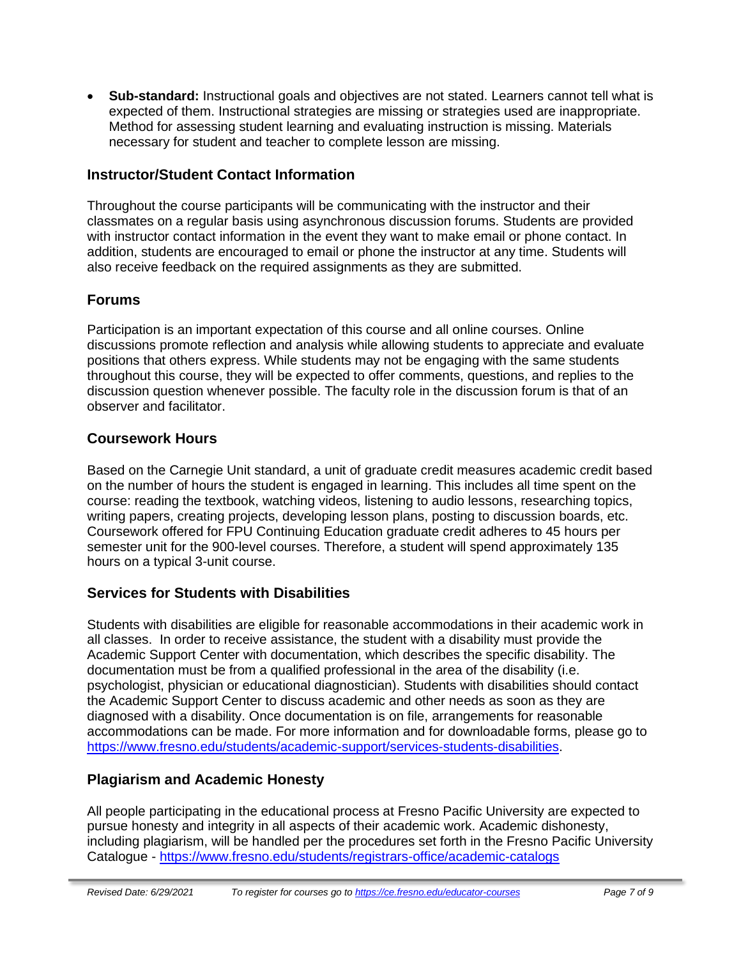• **Sub-standard:** Instructional goals and objectives are not stated. Learners cannot tell what is expected of them. Instructional strategies are missing or strategies used are inappropriate. Method for assessing student learning and evaluating instruction is missing. Materials necessary for student and teacher to complete lesson are missing.

### **Instructor/Student Contact Information**

Throughout the course participants will be communicating with the instructor and their classmates on a regular basis using asynchronous discussion forums. Students are provided with instructor contact information in the event they want to make email or phone contact. In addition, students are encouraged to email or phone the instructor at any time. Students will also receive feedback on the required assignments as they are submitted.

### **Forums**

Participation is an important expectation of this course and all online courses. Online discussions promote reflection and analysis while allowing students to appreciate and evaluate positions that others express. While students may not be engaging with the same students throughout this course, they will be expected to offer comments, questions, and replies to the discussion question whenever possible. The faculty role in the discussion forum is that of an observer and facilitator.

### **Coursework Hours**

Based on the Carnegie Unit standard, a unit of graduate credit measures academic credit based on the number of hours the student is engaged in learning. This includes all time spent on the course: reading the textbook, watching videos, listening to audio lessons, researching topics, writing papers, creating projects, developing lesson plans, posting to discussion boards, etc. Coursework offered for FPU Continuing Education graduate credit adheres to 45 hours per semester unit for the 900-level courses. Therefore, a student will spend approximately 135 hours on a typical 3-unit course.

### **Services for Students with Disabilities**

Students with disabilities are eligible for reasonable accommodations in their academic work in all classes. In order to receive assistance, the student with a disability must provide the Academic Support Center with documentation, which describes the specific disability. The documentation must be from a qualified professional in the area of the disability (i.e. psychologist, physician or educational diagnostician). Students with disabilities should contact the Academic Support Center to discuss academic and other needs as soon as they are diagnosed with a disability. Once documentation is on file, arrangements for reasonable accommodations can be made. For more information and for downloadable forms, please go to [https://www.fresno.edu/students/academic-support/services-students-disabilities.](https://www.fresno.edu/students/academic-support/services-students-disabilities)

### **Plagiarism and Academic Honesty**

All people participating in the educational process at Fresno Pacific University are expected to pursue honesty and integrity in all aspects of their academic work. Academic dishonesty, including plagiarism, will be handled per the procedures set forth in the Fresno Pacific University Catalogue - <https://www.fresno.edu/students/registrars-office/academic-catalogs>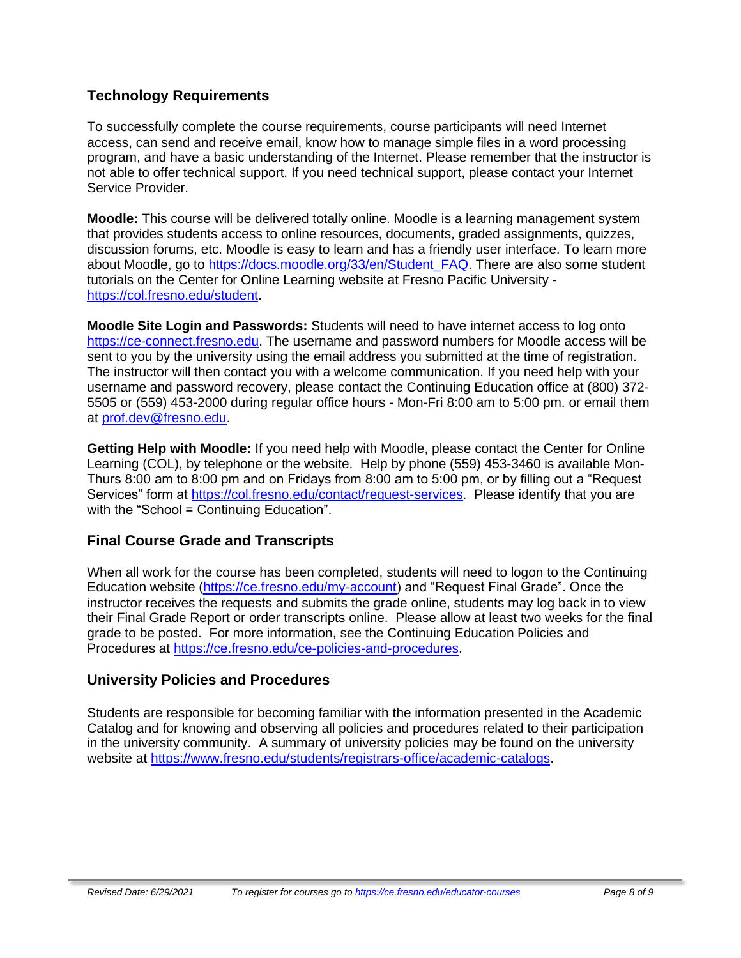### **Technology Requirements**

To successfully complete the course requirements, course participants will need Internet access, can send and receive email, know how to manage simple files in a word processing program, and have a basic understanding of the Internet. Please remember that the instructor is not able to offer technical support. If you need technical support, please contact your Internet Service Provider.

**Moodle:** This course will be delivered totally online. Moodle is a learning management system that provides students access to online resources, documents, graded assignments, quizzes, discussion forums, etc. Moodle is easy to learn and has a friendly user interface. To learn more about Moodle, go to [https://docs.moodle.org/33/en/Student\\_FAQ.](https://docs.moodle.org/33/en/Student_FAQ) There are also some student tutorials on the Center for Online Learning website at Fresno Pacific University [https://col.fresno.edu/student.](https://col.fresno.edu/student)

**Moodle Site Login and Passwords:** Students will need to have internet access to log onto [https://ce-connect.fresno.edu.](https://ce-connect.fresno.edu/) The username and password numbers for Moodle access will be sent to you by the university using the email address you submitted at the time of registration. The instructor will then contact you with a welcome communication. If you need help with your username and password recovery, please contact the Continuing Education office at (800) 372- 5505 or (559) 453-2000 during regular office hours - Mon-Fri 8:00 am to 5:00 pm. or email them at [prof.dev@fresno.edu.](mailto:prof.dev@fresno.edu)

**Getting Help with Moodle:** If you need help with Moodle, please contact the Center for Online Learning (COL), by telephone or the website. Help by phone (559) 453-3460 is available Mon-Thurs 8:00 am to 8:00 pm and on Fridays from 8:00 am to 5:00 pm, or by filling out a "Request Services" form at [https://col.fresno.edu/contact/request-services.](https://col.fresno.edu/contact/request-services) Please identify that you are with the "School = Continuing Education".

### **Final Course Grade and Transcripts**

When all work for the course has been completed, students will need to logon to the Continuing Education website [\(https://ce.fresno.edu/my-account\)](https://ce.fresno.edu/my-account) and "Request Final Grade". Once the instructor receives the requests and submits the grade online, students may log back in to view their Final Grade Report or order transcripts online. Please allow at least two weeks for the final grade to be posted. For more information, see the Continuing Education Policies and Procedures at [https://ce.fresno.edu/ce-policies-and-procedures.](https://ce.fresno.edu/ce-policies-and-procedures)

### **University Policies and Procedures**

Students are responsible for becoming familiar with the information presented in the Academic Catalog and for knowing and observing all policies and procedures related to their participation in the university community. A summary of university policies may be found on the university website at [https://www.fresno.edu/students/registrars-office/academic-catalogs.](https://www.fresno.edu/students/registrars-office/academic-catalogs)